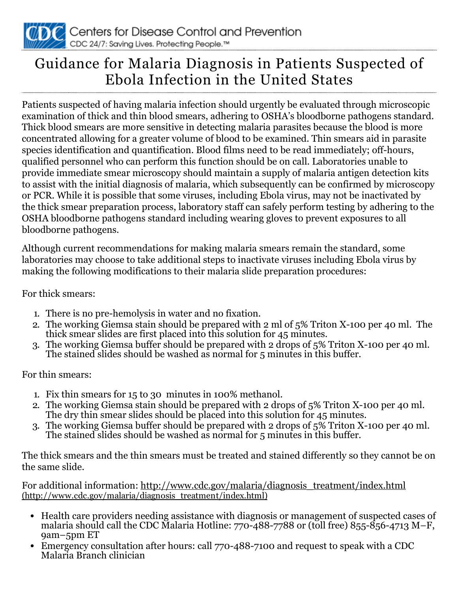

## Guidance for Malaria Diagnosis in Patients Suspected of Ebola Infection in the United States

Patients suspected of having malaria infection should urgently be evaluated through microscopic examination of thick and thin blood smears, adhering to OSHA's bloodborne pathogens standard. Thick blood smears are more sensitive in detecting malaria parasites because the blood is more concentrated allowing for a greater volume of blood to be examined. Thin smears aid in parasite species identification and quantification. Blood films need to be read immediately; off-hours, qualified personnel who can perform this function should be on call. Laboratories unable to provide immediate smear microscopy should maintain a supply of malaria antigen detection kits to assist with the initial diagnosis of malaria, which subsequently can be confirmed by microscopy or PCR. While it is possible that some viruses, including Ebola virus, may not be inactivated by the thick smear preparation process, laboratory staff can safely perform testing by adhering to the OSHA bloodborne pathogens standard including wearing gloves to prevent exposures to all bloodborne pathogens.

Although current recommendations for making malaria smears remain the standard, some laboratories may choose to take additional steps to inactivate viruses including Ebola virus by making the following modifications to their malaria slide preparation procedures:

For thick smears:

- 1. There is no pre-hemolysis in water and no fixation.
- 2. The working Giemsa stain should be prepared with 2 ml of 5% Triton X-100 per 40 ml. The thick smear slides are first placed into this solution for 45 minutes.
- 3. The working Giemsa buffer should be prepared with 2 drops of 5% Triton X-100 per 40 ml. The stained slides should be washed as normal for 5 minutes in this buffer.

For thin smears:

- 1. Fix thin smears for 15 to 30 minutes in 100% methanol.
- 2. The working Giemsa stain should be prepared with 2 drops of 5% Triton X-100 per 40 ml. The dry thin smear slides should be placed into this solution for 45 minutes.
- 3. The working Giemsa buffer should be prepared with 2 drops of 5% Triton X-100 per 40 ml. The stained slides should be washed as normal for 5 minutes in this buffer.

The thick smears and the thin smears must be treated and stained differently so they cannot be on the same slide.

For additional information: [http://www.cdc.gov/malaria/diagnosis\\_treatment/index.html](http://www.cdc.gov/malaria/diagnosis_treatment/index.html) (http://www.cdc.gov/malaria/diagnosis\_treatment/index.html)

- Health care providers needing assistance with diagnosis or management of suspected cases of malaria should call the CDC Malaria Hotline: 770-488-7788 or (toll free) 855-856-4713 M–F, 9am–5pm ET
- Emergency consultation after hours: call 770-488-7100 and request to speak with a CDC Malaria Branch clinician